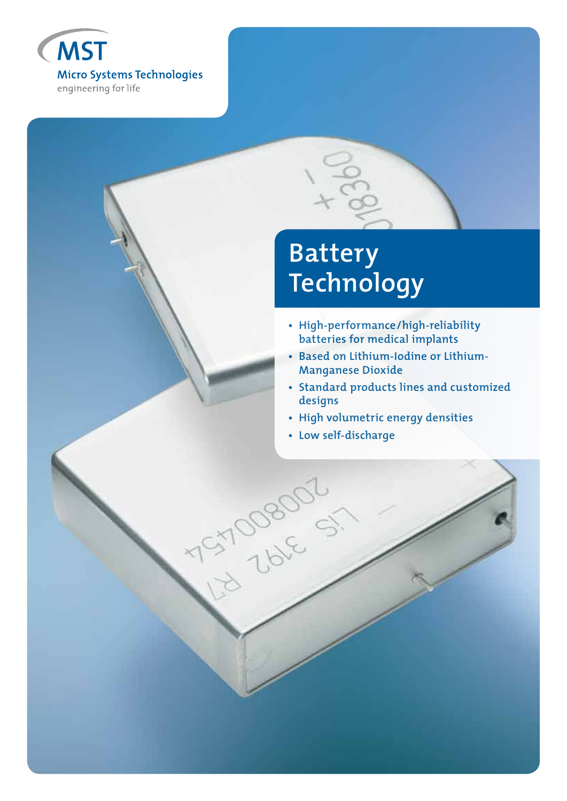

# **Battery Technology**

- **High-performance/high-reliability batteries for medical implants**
- **Based on Lithium-Iodine or Lithium- Manganese Dioxide**
- **Standard products lines and customized designs**
- **High volumetric energy densities**
- **Low self-discharge**

is zolo